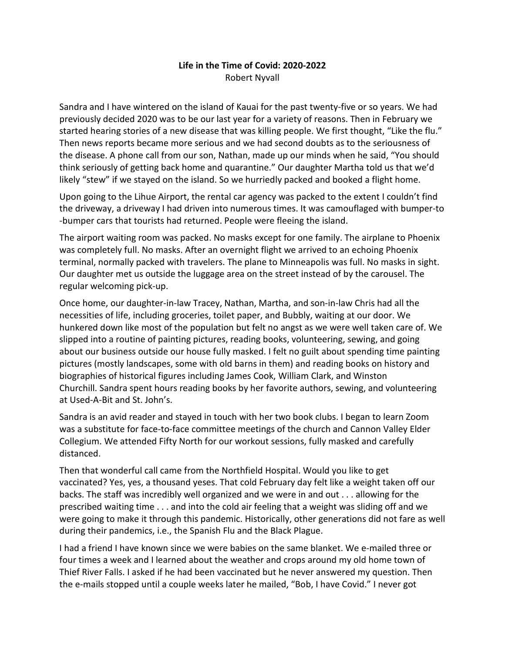## **Life in the Time of Covid: 2020-2022** Robert Nyvall

Sandra and I have wintered on the island of Kauai for the past twenty-five or so years. We had previously decided 2020 was to be our last year for a variety of reasons. Then in February we started hearing stories of a new disease that was killing people. We first thought, "Like the flu." Then news reports became more serious and we had second doubts as to the seriousness of the disease. A phone call from our son, Nathan, made up our minds when he said, "You should think seriously of getting back home and quarantine." Our daughter Martha told us that we'd likely "stew" if we stayed on the island. So we hurriedly packed and booked a flight home.

Upon going to the Lihue Airport, the rental car agency was packed to the extent I couldn't find the driveway, a driveway I had driven into numerous times. It was camouflaged with bumper-to -bumper cars that tourists had returned. People were fleeing the island.

The airport waiting room was packed. No masks except for one family. The airplane to Phoenix was completely full. No masks. After an overnight flight we arrived to an echoing Phoenix terminal, normally packed with travelers. The plane to Minneapolis was full. No masks in sight. Our daughter met us outside the luggage area on the street instead of by the carousel. The regular welcoming pick-up.

Once home, our daughter-in-law Tracey, Nathan, Martha, and son-in-law Chris had all the necessities of life, including groceries, toilet paper, and Bubbly, waiting at our door. We hunkered down like most of the population but felt no angst as we were well taken care of. We slipped into a routine of painting pictures, reading books, volunteering, sewing, and going about our business outside our house fully masked. I felt no guilt about spending time painting pictures (mostly landscapes, some with old barns in them) and reading books on history and biographies of historical figures including James Cook, William Clark, and Winston Churchill. Sandra spent hours reading books by her favorite authors, sewing, and volunteering at Used-A-Bit and St. John's.

Sandra is an avid reader and stayed in touch with her two book clubs. I began to learn Zoom was a substitute for face-to-face committee meetings of the church and Cannon Valley Elder Collegium. We attended Fifty North for our workout sessions, fully masked and carefully distanced.

Then that wonderful call came from the Northfield Hospital. Would you like to get vaccinated? Yes, yes, a thousand yeses. That cold February day felt like a weight taken off our backs. The staff was incredibly well organized and we were in and out . . . allowing for the prescribed waiting time . . . and into the cold air feeling that a weight was sliding off and we were going to make it through this pandemic. Historically, other generations did not fare as well during their pandemics, i.e., the Spanish Flu and the Black Plague.

I had a friend I have known since we were babies on the same blanket. We e-mailed three or four times a week and I learned about the weather and crops around my old home town of Thief River Falls. I asked if he had been vaccinated but he never answered my question. Then the e-mails stopped until a couple weeks later he mailed, "Bob, I have Covid." I never got